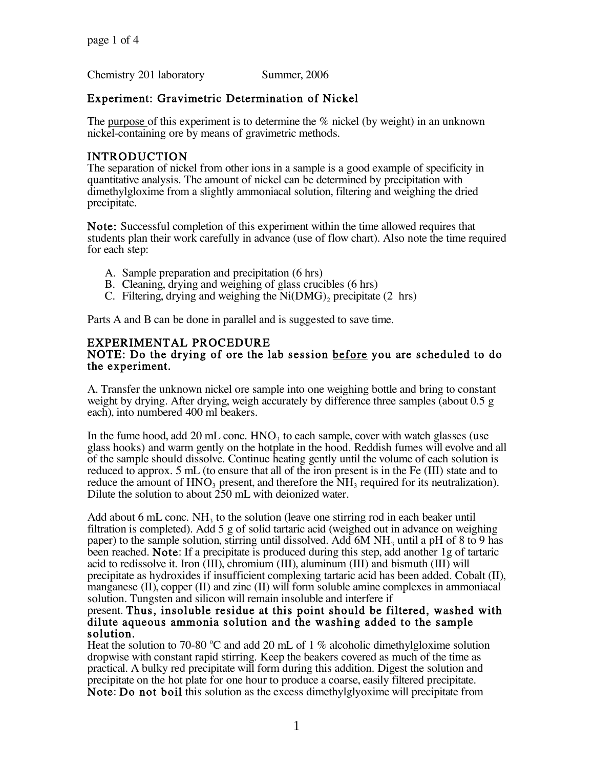Chemistry 201 laboratory Summer, 2006

## Experiment: Gravimetric Determination of Nickel

The purpose of this experiment is to determine the  $\%$  nickel (by weight) in an unknown nickel-containing ore by means of gravimetric methods.

### INTRODUCTION

The separation of nickel from other ions in a sample is a good example of specificity in quantitative analysis. The amount of nickel can be determined by precipitation with dimethylgloxime from a slightly ammoniacal solution, filtering and weighing the dried precipitate.

Note: Successful completion of this experiment within the time allowed requires that students plan their work carefully in advance (use of flow chart). Also note the time required for each step:

- A. Sample preparation and precipitation (6 hrs)
- B. Cleaning, drying and weighing of glass crucibles (6 hrs)
- C. Filtering, drying and weighing the  $Ni(DMG)$ , precipitate (2 hrs)

Parts A and B can be done in parallel and is suggested to save time.

## EXPERIMENTAL PROCEDURE

#### NOTE: Do the drying of ore the lab session before you are scheduled to do the experiment.

A. Transfer the unknown nickel ore sample into one weighing bottle and bring to constant weight by drying. After drying, weigh accurately by difference three samples (about 0.5 g each), into numbered 400 ml beakers.

In the fume hood, add 20 mL conc.  $HNO<sub>3</sub>$  to each sample, cover with watch glasses (use glass hooks) and warm gently on the hotplate in the hood. Reddish fumes will evolve and all of the sample should dissolve. Continue heating gently until the volume of each solution is reduced to approx. 5 mL (to ensure that all of the iron present is in the Fe (III) state and to reduce the amount of  $HNO<sub>3</sub>$  present, and therefore the  $NH<sub>3</sub>$  required for its neutralization). Dilute the solution to about 250 mL with deionized water.

Add about 6 mL conc.  $NH_3$  to the solution (leave one stirring rod in each beaker until filtration is completed). Add 5 g of solid tartaric acid (weighed out in advance on weighing paper) to the sample solution, stirring until dissolved. Add 6M  $NH<sub>3</sub>$  until a pH of 8 to 9 has been reached. Note: If a precipitate is produced during this step, add another 1g of tartaric acid to redissolve it. Iron (III), chromium (III), aluminum (III) and bismuth (III) will<br>precipitate as hydroxides if insufficient complexing tartaric acid has been added. Cobalt (II), manganese (II), copper (II) and zinc (II) will form soluble amine complexes in ammoniacal solution. Tungsten and silicon will remain insoluble and interfere if

# present. Thus, insoluble residue at this point should be filtered, washed with dilute aqueous ammonia solution and the washing added to the sample solution.

Heat the solution to 70-80 °C and add 20 mL of 1 % alcoholic dimethylgloxime solution dropwise with constant rapid stirring. Keep the beakers covered as much of the time as practical. A bulky red precipitate will form during this addition. Digest the solution and Note: Do not boil this solution as the excess dimethylglyoxime will precipitate from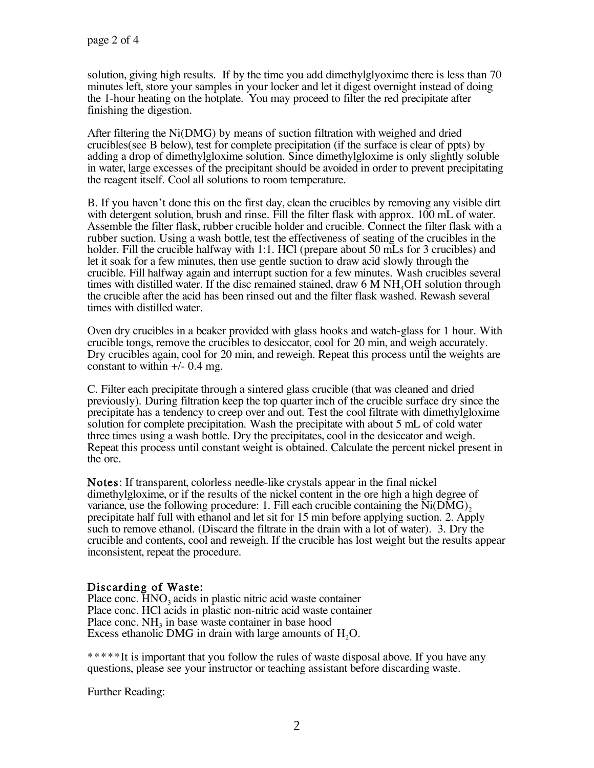solution, giving high results. If by the time you add dimethylglyoxime there is less than 70 minutes left, store your samples in your locker and let it digest overnight instead of doing the 1-hour heating on the hotplate. You may proceed to filter the red precipitate after finishing the digestion.

After filtering the Ni(DMG) by means of suction filtration with weighed and dried crucibles(see B below), test for complete precipitation (if the surface is clear of ppts) by adding a drop of dimethylgloxime solution. Since dimethylgloxime is only slightly soluble in water, large excesses of the precipitant should be avoided in order to prevent precipitating the reagent itself. Cool all solutions to room temperature.

B. If you haven't done this on the first day, clean the crucibles by removing any visible dirt with detergent solution, brush and rinse. Fill the filter flask with approx. 100 mL of water. Assemble the filter flask, rubber crucible holder and crucible. Connect the filter flask with a rubber suction. Using a wash bottle, test the effectiveness of seating of the crucibles in the holder. Fill the crucible halfway with 1:1. HCl (prepare about 50 mLs for 3 crucibles) and let it soak for a few minutes, then use gentle suction to draw acid slowly through the crucible. Fill halfway again and interrupt suction for a few minutes. Wash crucibles several times with distilled water. If the disc remained stained, draw  $6 \text{ M} \text{ NH}_4\text{OH}$  solution through the crucible after the acid has been rinsed out and the filter flask washed. Rewash several times with distilled water.

Oven dry crucibles in a beaker provided with glass hooks and watch-glass for 1 hour. With crucible tongs, remove the crucibles to desiccator, cool for 20 min, and weigh accurately. Dry crucibles again, cool for 20 min, and reweigh. Repeat this process until the weights are constant to within  $+/- 0.4$  mg.

C. Filter each precipitate through a sintered glass crucible (that was cleaned and dried previously). During filtration keep the top quarter inch of the crucible surface dry since the precipitate has a tendency to creep over and out. Test the cool filtrate with dimethylgloxime solution for complete precipitation. Wash the precipitate with about 5 mL of cold water three times using a wash bottle. Dry the precipitates, cool in the desiccator and weigh. Repeat this process until constant weight is obtained. Calculate the percent nickel present in the ore.

Notes: If transparent, colorless needle-like crystals appear in the final nickel dimethylgloxime, or if the results of the nickel content in the ore high a high degree of variance, use the following procedure: 1. Fill each crucible containing the  $Ni(DMG)$ , precipitate half full with ethanol and let sit for 15 min before applying suction. 2. Apply such to remove ethanol. (Discard the filtrate in the drain with a lot of water). 3. Dry the crucible and contents, cool and reweigh. If the crucible has lost weight but the results appear inconsistent, repeat the procedure.

## Discarding of Waste:

Place conc. HNO<sub>3</sub> acids in plastic nitric acid waste container Place conc. HCl acids in plastic non-nitric acid waste container Place conc.  $NH<sub>3</sub>$  in base waste container in base hood Excess ethanolic DMG in drain with large amounts of  $H<sub>2</sub>O$ .

\*\*\*\*\*It is important that you follow the rules of waste disposal above. If you have any questions, please see your instructor or teaching assistant before discarding waste.

Further Reading: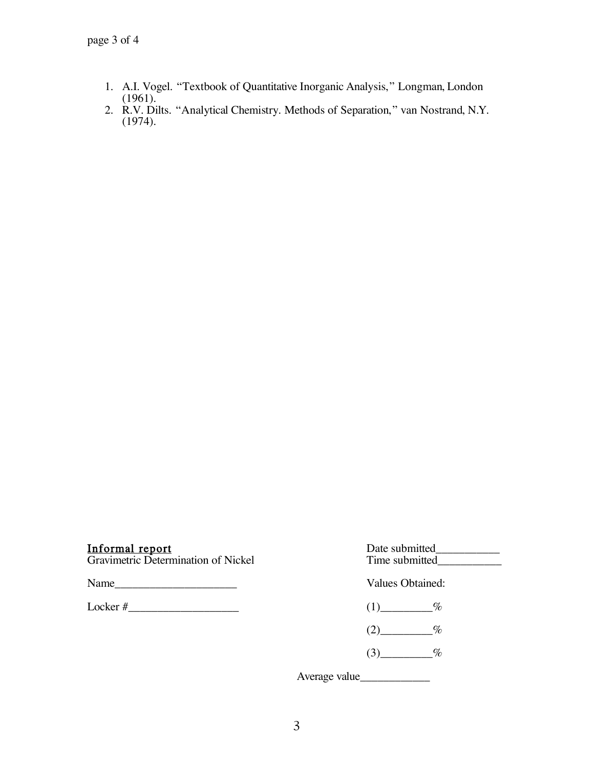- 1. A.I. Vogel. "Textbook of Quantitative Inorganic Analysis," Longman, London (1961).
- 2. R.V. Dilts. "Analytical Chemistry. Methods of Separation," van Nostrand, N.Y. (1974).

| <b>Informal report</b><br>Gravimetric Determination of Nickel                      | Date submitted<br>Time submitted<br>Values Obtained: |  |
|------------------------------------------------------------------------------------|------------------------------------------------------|--|
| Name<br>the control of the control of the control of the control of the control of |                                                      |  |
| $\text{Locker} \#$                                                                 | $\%$<br>(1)                                          |  |
|                                                                                    | $\%$                                                 |  |
|                                                                                    | $\%$                                                 |  |

Average value\_\_\_\_\_\_\_\_\_\_\_\_